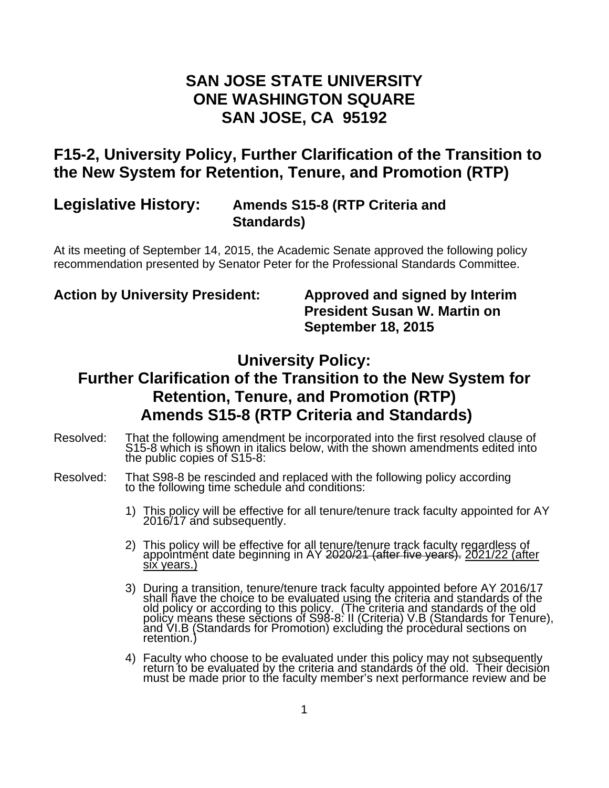## **SAN JOSE STATE UNIVERSITY ONE WASHINGTON SQUARE SAN JOSE, CA 95192**

# **F15-2, University Policy, Further Clarification of the Transition to the New System for Retention, Tenure, and Promotion (RTP)**

### **Legislative History: Amends S15-8 (RTP Criteria and Standards)**

At its meeting of September 14, 2015, the Academic Senate approved the following policy recommendation presented by Senator Peter for the Professional Standards Committee.

**Action by University President: Approved and signed by Interim President Susan W. Martin on September 18, 2015** 

## **University Policy:**

# **Further Clarification of the Transition to the New System for Retention, Tenure, and Promotion (RTP) Amends S15-8 (RTP Criteria and Standards)**

- Resolved: That the following amendment be incorporated into the first resolved clause of S15-8 which is shown in italics below, with the shown amendments edited into the public copies of S15-8:
- Resolved: That S98-8 be rescinded and replaced with the following policy according<br>to the following time schedule and conditions:
	- 1) This policy will be effective for all tenure/tenure track faculty appointed for AY 2016/17 and subsequently.
	- 2) This policy will be effective for all tenure/tenure track faculty regardless of appointment date beginning in AY 2020/21 (after five years). 2021/22 (after six years.)
	- 3) During a transition, tenure/tenure track faculty appointed before AY 2016/17 shall have the choice to be evaluated using the criteria and standards of the old policy or according to this policy. (The criteria and standards of the old<br>policy means these sections of S98-8: II (Criteria) V.B (Standards for Tenure),<br>and VI.B (Standards for Promotion) excluding the procedural sec retention.)
	- 4) Faculty who choose to be evaluated under this policy may not subsequently return to be evaluated by the criteria and standards of the old. Their decision must be made prior to the faculty member's next performance review and be